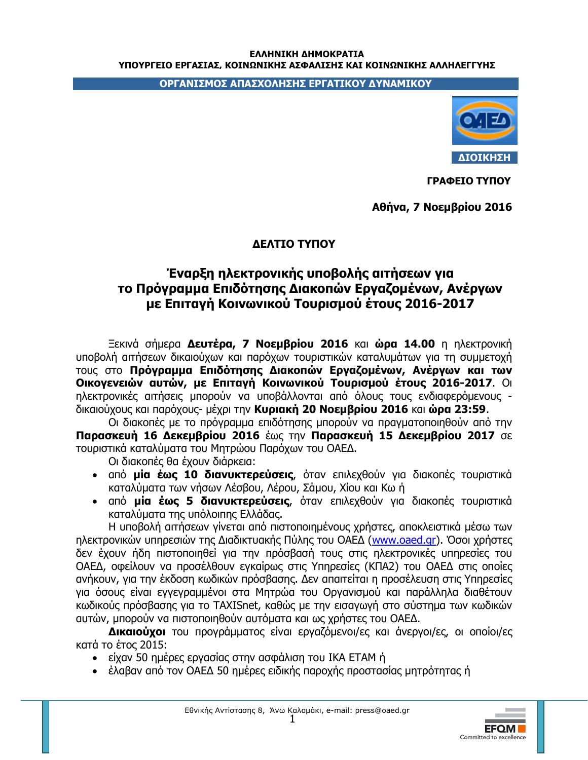## ΕΛΛΗΝΙΚΗ ΔΗΜΟΚΡΑΤΙΑ ΥΠΟΥΡΓΕΙΟ ΕΡΓΑΣΙΑΣ, ΚΟΙΝΩΝΙΚΗΣ ΑΣΦΑΛΙΣΗΣ ΚΑΙ ΚΟΙΝΩΝΙΚΗΣ ΑΛΛΗΛΕΓΓΥΗΣ

ΟΡΓΑΝΙΣΜΟΣ ΑΠΑΣΧΟΛΗΣΗΣ ΕΡΓΑΤΙΚΟΥ ΔΥΝΑΜΙΚΟΥ



ΓΡΑΦΕΙΟ ΤΥΠΟΥ

Αθήνα, 7 Νοεμβρίου 2016

## ΔΕΛΤΙΟ ΤΥΠΟΥ

## Έναρξη ηλεκτρονικής υποβολής αιτήσεων για το Πρόγραμμα Επιδότησης Διακοπών Εργαζομένων, Ανέργων με Επιταγή Κοινωνικού Τουρισμού έτους 2016-2017

Ξεκινά σήμερα Δευτέρα, 7 Νοεμβρίου 2016 και ώρα 14.00 η ηλεκτρονική υποβολή αιτήσεων δικαιούχων και παρόχων τουριστικών καταλυμάτων για τη συμμετοχή τους στο Πρόγραμμα Επιδότησης Διακοπών Εργαζομένων, Ανέργων και των Οικογενειών αυτών, με Επιταγή Κοινωνικού Τουρισμού έτους 2016-2017. Οι ηλεκτρονικές αιτήσεις μπορούν να υποβάλλονται από όλους τους ενδιαφερόμενους δικαιούχους και παρόχους- μέχρι την Κυριακή 20 Νοεμβρίου 2016 και ώρα 23:59.

Οι διακοπές με το πρόγραμμα επιδότησης μπορούν να πραγματοποιηθούν από την Παρασκευή 16 Δεκεμβρίου 2016 έως την Παρασκευή 15 Δεκεμβρίου 2017 σε τουριστικά καταλύματα του Μητρώου Παρόχων του ΟΑΕΔ.

Οι διακοπές θα έχουν διάρκεια:

- · από μία έως 10 διανυκτερεύσεις, όταν επιλεχθούν για διακοπές τουριστικά καταλύματα των νήσων Λέσβου, Λέρου, Σάμου, Χίου και Κω ή
- από μία έως 5 διανυκτερεύσεις, όταν επιλεχθούν για διακοπές τουριστικά καταλύματα της υπόλοιπης Ελλάδας.

Η υποβολή αιτήσεων γίνεται από πιστοποιημένους χρήστες, αποκλειστικά μέσω των ηλεκτρονικών υπηρεσιών της Διαδικτυακής Πύλης του ΟΑΕΔ (www.oaed.gr). Όσοι χρήστες δεν έχουν ήδη πιστοποιηθεί για την πρόσβασή τους στις ηλεκτρονικές υπηρεσίες του ΟΑΕΔ, οφείλουν να προσέλθουν εγκαίρως στις Υπηρεσίες (ΚΠΑ2) του ΟΑΕΔ στις οποίες ανήκουν, για την έκδοση κωδικών πρόσβασης. Δεν απαιτείται η προσέλευση στις Υπηρεσίες για όσους είναι εγγεγραμμένοι στα Μητρώα του Οργανισμού και παράλληλα διαθέτουν κωδικούς πρόσβασης για το TAXISnet, καθώς με την εισαγωγή στο σύστημα των κωδικών αυτών, μπορούν να πιστοποιηθούν αυτόματα και ως χρήστες του ΟΑΕΔ.

Δικαιούχοι του προγράμματος είναι εργαζόμενοι/ες και άνεργοι/ες, οι οποίοι/ες κατά το έτος 2015:

- είχαν 50 ημέρες εργασίας στην ασφάλιση του ΙΚΑ ΕΤΑΜ ή
- έλαβαν από τον ΟΑΕΔ 50 ημέρες ειδικής παροχής προστασίας μητρότητας ή